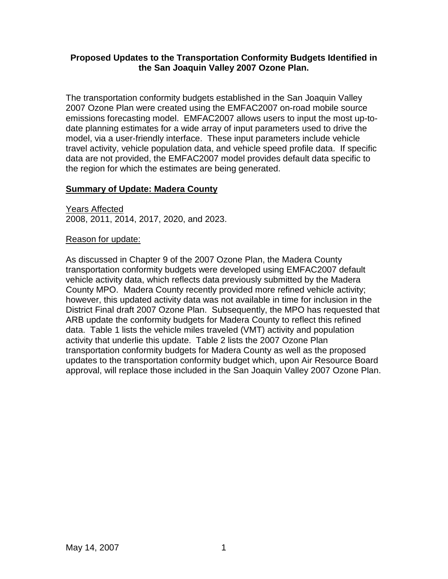### **Proposed Updates to the Transportation Conformity Budgets Identified in the San Joaquin Valley 2007 Ozone Plan.**

The transportation conformity budgets established in the San Joaquin Valley 2007 Ozone Plan were created using the EMFAC2007 on-road mobile source emissions forecasting model. EMFAC2007 allows users to input the most up-todate planning estimates for a wide array of input parameters used to drive the model, via a user-friendly interface. These input parameters include vehicle travel activity, vehicle population data, and vehicle speed profile data. If specific data are not provided, the EMFAC2007 model provides default data specific to the region for which the estimates are being generated.

# **Summary of Update: Madera County**

Years Affected 2008, 2011, 2014, 2017, 2020, and 2023.

### Reason for update:

As discussed in Chapter 9 of the 2007 Ozone Plan, the Madera County transportation conformity budgets were developed using EMFAC2007 default vehicle activity data, which reflects data previously submitted by the Madera County MPO. Madera County recently provided more refined vehicle activity; however, this updated activity data was not available in time for inclusion in the District Final draft 2007 Ozone Plan. Subsequently, the MPO has requested that ARB update the conformity budgets for Madera County to reflect this refined data. Table 1 lists the vehicle miles traveled (VMT) activity and population activity that underlie this update. Table 2 lists the 2007 Ozone Plan transportation conformity budgets for Madera County as well as the proposed updates to the transportation conformity budget which, upon Air Resource Board approval, will replace those included in the San Joaquin Valley 2007 Ozone Plan.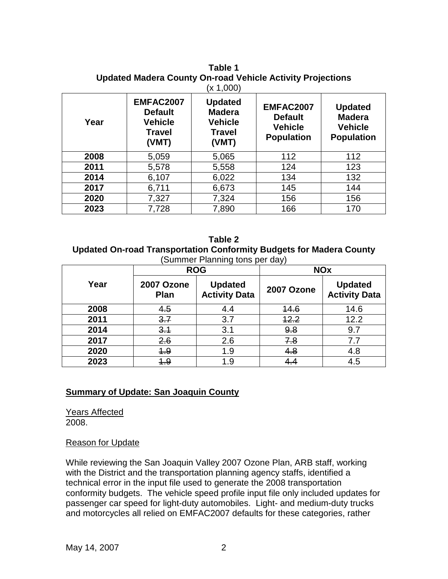**Table 1 Updated Madera County On-road Vehicle Activity Projections**   $(x 1,000)$ 

| Year | <b>EMFAC2007</b><br><b>Default</b><br><b>Vehicle</b><br><b>Travel</b><br>(VMT) | <b>Updated</b><br><b>Madera</b><br><b>Vehicle</b><br>Travel<br>(VMT) | EMFAC2007<br><b>Default</b><br><b>Vehicle</b><br><b>Population</b> | <b>Updated</b><br><b>Madera</b><br><b>Vehicle</b><br><b>Population</b> |
|------|--------------------------------------------------------------------------------|----------------------------------------------------------------------|--------------------------------------------------------------------|------------------------------------------------------------------------|
| 2008 | 5,059                                                                          | 5,065                                                                | 112                                                                | 112                                                                    |
| 2011 | 5,578                                                                          | 5,558                                                                | 124                                                                | 123                                                                    |
| 2014 | 6,107                                                                          | 6,022                                                                | 134                                                                | 132                                                                    |
| 2017 | 6,711                                                                          | 6,673                                                                | 145                                                                | 144                                                                    |
| 2020 | 7,327                                                                          | 7,324                                                                | 156                                                                | 156                                                                    |
| 2023 | 7,728                                                                          | 7,890                                                                | 166                                                                | 170                                                                    |

**Table 2 Updated On-road Transportation Conformity Budgets for Madera County**  (Summer Planning tons per day)

|      | <b>ROG</b>         |                                        | <b>NOx</b> |                                        |
|------|--------------------|----------------------------------------|------------|----------------------------------------|
| Year | 2007 Ozone<br>Plan | <b>Updated</b><br><b>Activity Data</b> | 2007 Ozone | <b>Updated</b><br><b>Activity Data</b> |
| 2008 | 4.5                | 4.4                                    | 14.6       | 14.6                                   |
| 2011 | 3.7                | 3.7                                    | 12.2       | 12.2                                   |
| 2014 | 3.1                | 3.1                                    | 9.8        | 9.7                                    |
| 2017 | 2.6                | 2.6                                    | 7.8        | 7.7                                    |
| 2020 | 4.9                | 1.9                                    | 4.8        | 4.8                                    |
| 2023 | 4.9                | 1.9                                    | 4.4        | 4.5                                    |

### **Summary of Update: San Joaquin County**

Years Affected 2008.

### Reason for Update

While reviewing the San Joaquin Valley 2007 Ozone Plan, ARB staff, working with the District and the transportation planning agency staffs, identified a technical error in the input file used to generate the 2008 transportation conformity budgets. The vehicle speed profile input file only included updates for passenger car speed for light-duty automobiles. Light- and medium-duty trucks and motorcycles all relied on EMFAC2007 defaults for these categories, rather